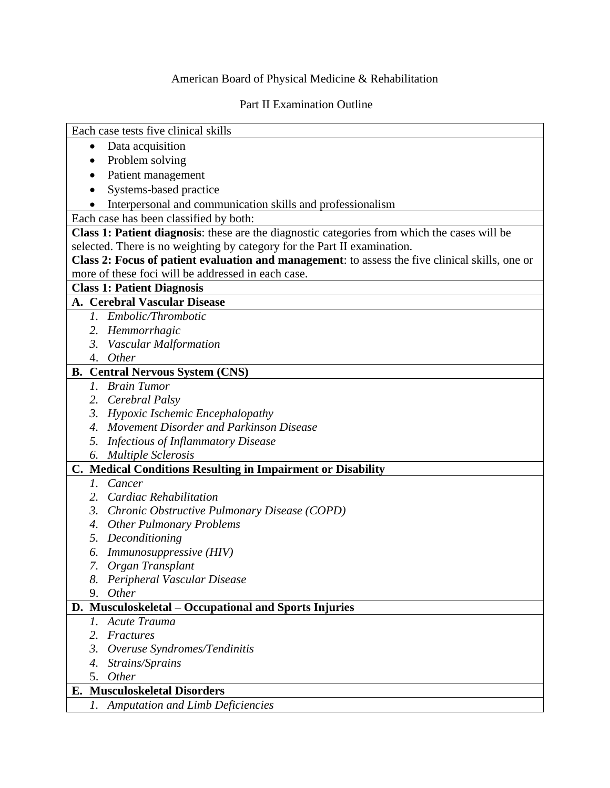## American Board of Physical Medicine & Rehabilitation

## Part II Examination Outline

| Each case tests five clinical skills                                                            |  |  |  |
|-------------------------------------------------------------------------------------------------|--|--|--|
| Data acquisition<br>$\bullet$                                                                   |  |  |  |
|                                                                                                 |  |  |  |
| Problem solving                                                                                 |  |  |  |
| Patient management                                                                              |  |  |  |
| Systems-based practice                                                                          |  |  |  |
| Interpersonal and communication skills and professionalism                                      |  |  |  |
| Each case has been classified by both:                                                          |  |  |  |
| Class 1: Patient diagnosis: these are the diagnostic categories from which the cases will be    |  |  |  |
| selected. There is no weighting by category for the Part II examination.                        |  |  |  |
| Class 2: Focus of patient evaluation and management: to assess the five clinical skills, one or |  |  |  |
| more of these foci will be addressed in each case.                                              |  |  |  |
| <b>Class 1: Patient Diagnosis</b>                                                               |  |  |  |
| A. Cerebral Vascular Disease                                                                    |  |  |  |
| 1. Embolic/Thrombotic                                                                           |  |  |  |
| 2. Hemmorrhagic                                                                                 |  |  |  |
| 3. Vascular Malformation                                                                        |  |  |  |
| Other<br>4.                                                                                     |  |  |  |
| <b>B.</b> Central Nervous System (CNS)                                                          |  |  |  |
| 1. Brain Tumor                                                                                  |  |  |  |
| 2. Cerebral Palsy                                                                               |  |  |  |
| 3. Hypoxic Ischemic Encephalopathy                                                              |  |  |  |
| 4. Movement Disorder and Parkinson Disease                                                      |  |  |  |
| <b>Infectious of Inflammatory Disease</b><br>5.                                                 |  |  |  |
| 6. Multiple Sclerosis                                                                           |  |  |  |
| C. Medical Conditions Resulting in Impairment or Disability                                     |  |  |  |
| Cancer<br>$l_{\cdot}$                                                                           |  |  |  |
| 2. Cardiac Rehabilitation                                                                       |  |  |  |
| 3. Chronic Obstructive Pulmonary Disease (COPD)                                                 |  |  |  |
| 4. Other Pulmonary Problems                                                                     |  |  |  |
| 5. Deconditioning                                                                               |  |  |  |
| <i>Immunosuppressive</i> (HIV)<br>6.                                                            |  |  |  |
| 7. Organ Transplant                                                                             |  |  |  |
| Peripheral Vascular Disease                                                                     |  |  |  |
| Other<br>9.                                                                                     |  |  |  |
| D. Musculoskeletal – Occupational and Sports Injuries                                           |  |  |  |
| Acute Trauma<br>Ι.                                                                              |  |  |  |
| Fractures<br>2.                                                                                 |  |  |  |
| $\mathfrak{Z}$ .<br>Overuse Syndromes/Tendinitis                                                |  |  |  |
| Strains/Sprains<br>4.                                                                           |  |  |  |
| Other<br>5.                                                                                     |  |  |  |
| <b>Musculoskeletal Disorders</b><br>Е.                                                          |  |  |  |
| <b>Amputation and Limb Deficiencies</b><br>1.                                                   |  |  |  |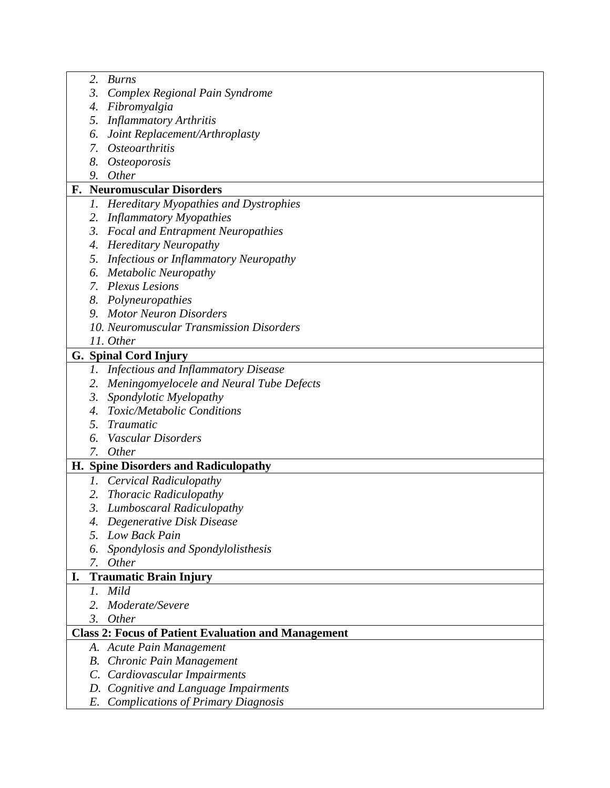|                                                            | 2.                             | Burns                                        |  |
|------------------------------------------------------------|--------------------------------|----------------------------------------------|--|
|                                                            | 3.                             | Complex Regional Pain Syndrome               |  |
|                                                            | 4.                             | Fibromyalgia                                 |  |
|                                                            | 5.                             | <b>Inflammatory Arthritis</b>                |  |
|                                                            | 6.                             | Joint Replacement/Arthroplasty               |  |
|                                                            | 7.                             | <i>Osteoarthritis</i>                        |  |
|                                                            |                                | 8. Osteoporosis                              |  |
|                                                            | 9.                             | Other                                        |  |
| F.                                                         | <b>Neuromuscular Disorders</b> |                                              |  |
|                                                            |                                | 1. Hereditary Myopathies and Dystrophies     |  |
|                                                            |                                | 2. Inflammatory Myopathies                   |  |
|                                                            |                                | 3. Focal and Entrapment Neuropathies         |  |
|                                                            | 4.                             | <b>Hereditary Neuropathy</b>                 |  |
|                                                            | 5.                             | <b>Infectious or Inflammatory Neuropathy</b> |  |
|                                                            | 6.                             | <b>Metabolic Neuropathy</b>                  |  |
|                                                            |                                | 7. Plexus Lesions                            |  |
|                                                            |                                | 8. Polyneuropathies                          |  |
|                                                            | 9.                             | <b>Motor Neuron Disorders</b>                |  |
|                                                            |                                | 10. Neuromuscular Transmission Disorders     |  |
|                                                            |                                | 11. Other                                    |  |
|                                                            |                                | G. Spinal Cord Injury                        |  |
|                                                            |                                | 1. Infectious and Inflammatory Disease       |  |
|                                                            |                                |                                              |  |
|                                                            |                                | 2. Meningomyelocele and Neural Tube Defects  |  |
|                                                            | 3.                             | Spondylotic Myelopathy                       |  |
|                                                            | 4.                             | <b>Toxic/Metabolic Conditions</b>            |  |
|                                                            | 5.                             | Traumatic                                    |  |
|                                                            | 6.                             | Vascular Disorders                           |  |
|                                                            |                                | 7. Other                                     |  |
|                                                            |                                | H. Spine Disorders and Radiculopathy         |  |
|                                                            |                                | 1. Cervical Radiculopathy                    |  |
|                                                            | 2.                             | <b>Thoracic Radiculopathy</b>                |  |
|                                                            |                                | 3. Lumboscaral Radiculopathy                 |  |
|                                                            |                                | Degenerative Disk Disease                    |  |
|                                                            | 5.                             | Low Back Pain                                |  |
|                                                            | 6.                             | Spondylosis and Spondylolisthesis            |  |
|                                                            | 7.                             | Other                                        |  |
| I.                                                         |                                | <b>Traumatic Brain Injury</b>                |  |
|                                                            | $l_{\cdot}$                    | Mild                                         |  |
|                                                            | 2.                             | Moderate/Severe                              |  |
|                                                            | 3.                             | <i>Other</i>                                 |  |
| <b>Class 2: Focus of Patient Evaluation and Management</b> |                                |                                              |  |
|                                                            |                                | A. Acute Pain Management                     |  |
|                                                            | В.                             | Chronic Pain Management                      |  |
|                                                            |                                | C. Cardiovascular Impairments                |  |
|                                                            | D.                             | Cognitive and Language Impairments           |  |
|                                                            | E.                             | <b>Complications of Primary Diagnosis</b>    |  |
|                                                            |                                |                                              |  |

Г